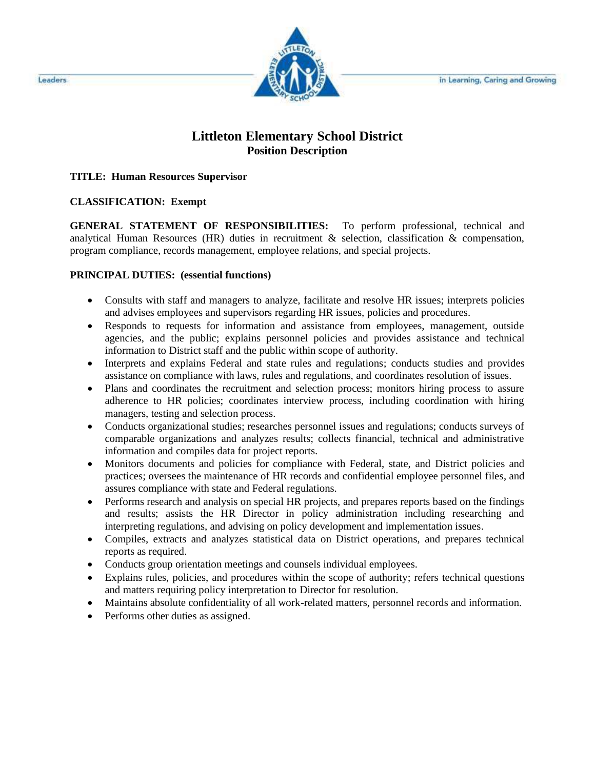

# **Littleton Elementary School District Position Description**

#### **TITLE: Human Resources Supervisor**

#### **CLASSIFICATION: Exempt**

**GENERAL STATEMENT OF RESPONSIBILITIES:** To perform professional, technical and analytical Human Resources (HR) duties in recruitment & selection, classification & compensation, program compliance, records management, employee relations, and special projects.

### **PRINCIPAL DUTIES: (essential functions)**

- Consults with staff and managers to analyze, facilitate and resolve HR issues; interprets policies and advises employees and supervisors regarding HR issues, policies and procedures.
- Responds to requests for information and assistance from employees, management, outside agencies, and the public; explains personnel policies and provides assistance and technical information to District staff and the public within scope of authority.
- Interprets and explains Federal and state rules and regulations; conducts studies and provides assistance on compliance with laws, rules and regulations, and coordinates resolution of issues.
- Plans and coordinates the recruitment and selection process; monitors hiring process to assure adherence to HR policies; coordinates interview process, including coordination with hiring managers, testing and selection process.
- Conducts organizational studies; researches personnel issues and regulations; conducts surveys of comparable organizations and analyzes results; collects financial, technical and administrative information and compiles data for project reports.
- Monitors documents and policies for compliance with Federal, state, and District policies and practices; oversees the maintenance of HR records and confidential employee personnel files, and assures compliance with state and Federal regulations.
- Performs research and analysis on special HR projects, and prepares reports based on the findings and results; assists the HR Director in policy administration including researching and interpreting regulations, and advising on policy development and implementation issues.
- Compiles, extracts and analyzes statistical data on District operations, and prepares technical reports as required.
- Conducts group orientation meetings and counsels individual employees.
- Explains rules, policies, and procedures within the scope of authority; refers technical questions and matters requiring policy interpretation to Director for resolution.
- Maintains absolute confidentiality of all work-related matters, personnel records and information.
- Performs other duties as assigned.

Leaders